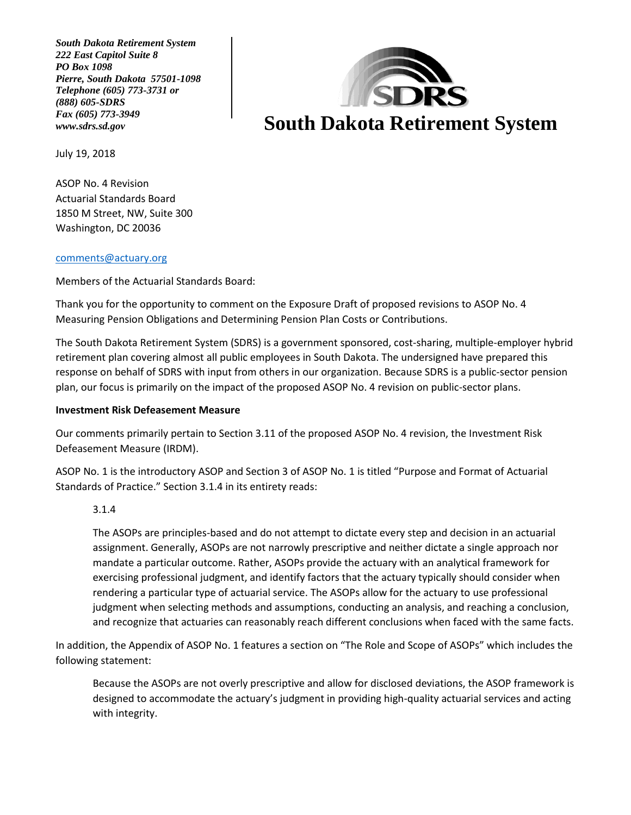*South Dakota Retirement System 222 East Capitol Suite 8 PO Box 1098 Pierre, South Dakota 57501-1098 Telephone (605) 773-3731 or (888) 605-SDRS Fax (605) 773-3949*



July 19, 2018

ASOP No. 4 Revision Actuarial Standards Board 1850 M Street, NW, Suite 300 Washington, DC 20036

#### [comments@actuary.org](mailto:comments@actuary.org)

Members of the Actuarial Standards Board:

Thank you for the opportunity to comment on the Exposure Draft of proposed revisions to ASOP No. 4 Measuring Pension Obligations and Determining Pension Plan Costs or Contributions.

The South Dakota Retirement System (SDRS) is a government sponsored, cost-sharing, multiple-employer hybrid retirement plan covering almost all public employees in South Dakota. The undersigned have prepared this response on behalf of SDRS with input from others in our organization. Because SDRS is a public-sector pension plan, our focus is primarily on the impact of the proposed ASOP No. 4 revision on public-sector plans.

#### **Investment Risk Defeasement Measure**

Our comments primarily pertain to Section 3.11 of the proposed ASOP No. 4 revision, the Investment Risk Defeasement Measure (IRDM).

ASOP No. 1 is the introductory ASOP and Section 3 of ASOP No. 1 is titled "Purpose and Format of Actuarial Standards of Practice." Section 3.1.4 in its entirety reads:

### 3.1.4

The ASOPs are principles-based and do not attempt to dictate every step and decision in an actuarial assignment. Generally, ASOPs are not narrowly prescriptive and neither dictate a single approach nor mandate a particular outcome. Rather, ASOPs provide the actuary with an analytical framework for exercising professional judgment, and identify factors that the actuary typically should consider when rendering a particular type of actuarial service. The ASOPs allow for the actuary to use professional judgment when selecting methods and assumptions, conducting an analysis, and reaching a conclusion, and recognize that actuaries can reasonably reach different conclusions when faced with the same facts.

In addition, the Appendix of ASOP No. 1 features a section on "The Role and Scope of ASOPs" which includes the following statement:

Because the ASOPs are not overly prescriptive and allow for disclosed deviations, the ASOP framework is designed to accommodate the actuary's judgment in providing high-quality actuarial services and acting with integrity.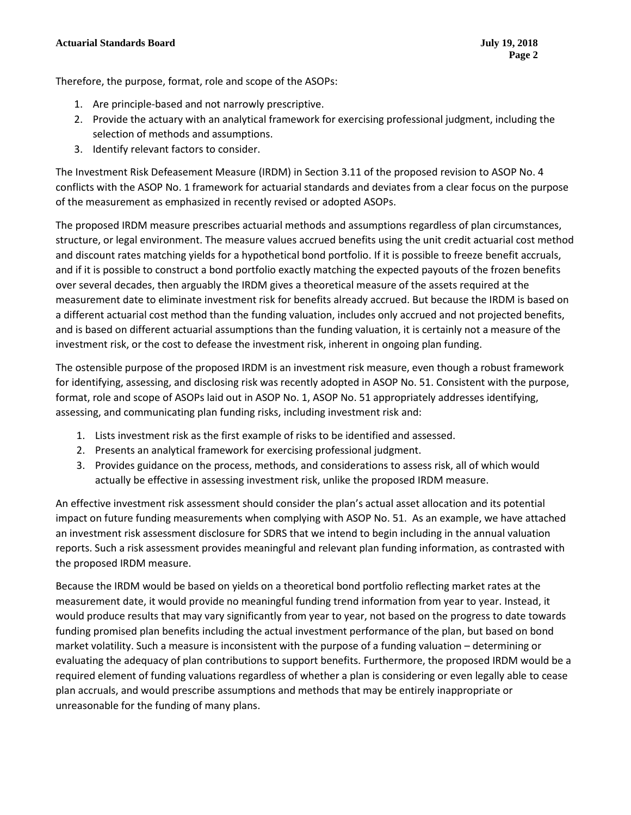Therefore, the purpose, format, role and scope of the ASOPs:

- 1. Are principle-based and not narrowly prescriptive.
- 2. Provide the actuary with an analytical framework for exercising professional judgment, including the selection of methods and assumptions.
- 3. Identify relevant factors to consider.

The Investment Risk Defeasement Measure (IRDM) in Section 3.11 of the proposed revision to ASOP No. 4 conflicts with the ASOP No. 1 framework for actuarial standards and deviates from a clear focus on the purpose of the measurement as emphasized in recently revised or adopted ASOPs.

The proposed IRDM measure prescribes actuarial methods and assumptions regardless of plan circumstances, structure, or legal environment. The measure values accrued benefits using the unit credit actuarial cost method and discount rates matching yields for a hypothetical bond portfolio. If it is possible to freeze benefit accruals, and if it is possible to construct a bond portfolio exactly matching the expected payouts of the frozen benefits over several decades, then arguably the IRDM gives a theoretical measure of the assets required at the measurement date to eliminate investment risk for benefits already accrued. But because the IRDM is based on a different actuarial cost method than the funding valuation, includes only accrued and not projected benefits, and is based on different actuarial assumptions than the funding valuation, it is certainly not a measure of the investment risk, or the cost to defease the investment risk, inherent in ongoing plan funding.

The ostensible purpose of the proposed IRDM is an investment risk measure, even though a robust framework for identifying, assessing, and disclosing risk was recently adopted in ASOP No. 51. Consistent with the purpose, format, role and scope of ASOPs laid out in ASOP No. 1, ASOP No. 51 appropriately addresses identifying, assessing, and communicating plan funding risks, including investment risk and:

- 1. Lists investment risk as the first example of risks to be identified and assessed.
- 2. Presents an analytical framework for exercising professional judgment.
- 3. Provides guidance on the process, methods, and considerations to assess risk, all of which would actually be effective in assessing investment risk, unlike the proposed IRDM measure.

An effective investment risk assessment should consider the plan's actual asset allocation and its potential impact on future funding measurements when complying with ASOP No. 51. As an example, we have attached an investment risk assessment disclosure for SDRS that we intend to begin including in the annual valuation reports. Such a risk assessment provides meaningful and relevant plan funding information, as contrasted with the proposed IRDM measure.

Because the IRDM would be based on yields on a theoretical bond portfolio reflecting market rates at the measurement date, it would provide no meaningful funding trend information from year to year. Instead, it would produce results that may vary significantly from year to year, not based on the progress to date towards funding promised plan benefits including the actual investment performance of the plan, but based on bond market volatility. Such a measure is inconsistent with the purpose of a funding valuation – determining or evaluating the adequacy of plan contributions to support benefits. Furthermore, the proposed IRDM would be a required element of funding valuations regardless of whether a plan is considering or even legally able to cease plan accruals, and would prescribe assumptions and methods that may be entirely inappropriate or unreasonable for the funding of many plans.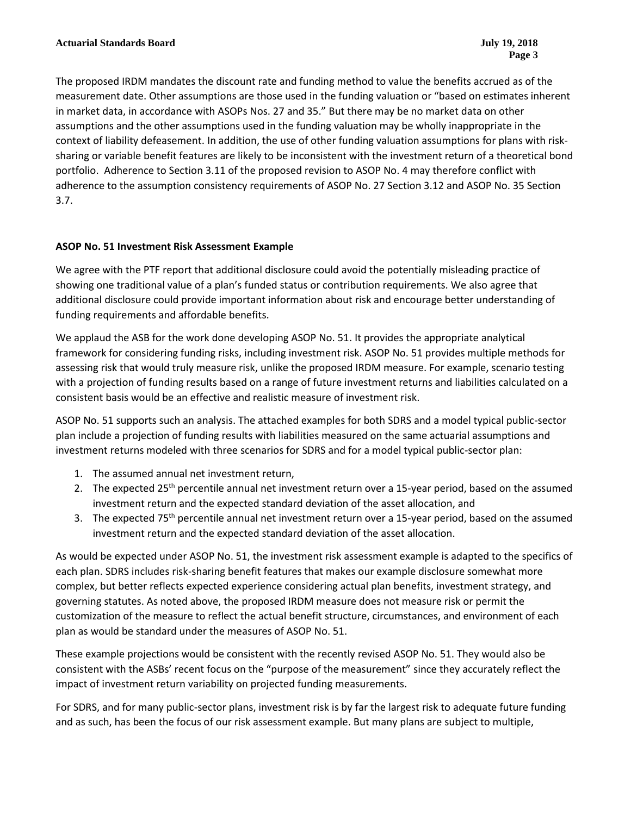The proposed IRDM mandates the discount rate and funding method to value the benefits accrued as of the measurement date. Other assumptions are those used in the funding valuation or "based on estimates inherent in market data, in accordance with ASOPs Nos. 27 and 35." But there may be no market data on other assumptions and the other assumptions used in the funding valuation may be wholly inappropriate in the context of liability defeasement. In addition, the use of other funding valuation assumptions for plans with risksharing or variable benefit features are likely to be inconsistent with the investment return of a theoretical bond portfolio. Adherence to Section 3.11 of the proposed revision to ASOP No. 4 may therefore conflict with adherence to the assumption consistency requirements of ASOP No. 27 Section 3.12 and ASOP No. 35 Section 3.7.

### **ASOP No. 51 Investment Risk Assessment Example**

We agree with the PTF report that additional disclosure could avoid the potentially misleading practice of showing one traditional value of a plan's funded status or contribution requirements. We also agree that additional disclosure could provide important information about risk and encourage better understanding of funding requirements and affordable benefits.

We applaud the ASB for the work done developing ASOP No. 51. It provides the appropriate analytical framework for considering funding risks, including investment risk. ASOP No. 51 provides multiple methods for assessing risk that would truly measure risk, unlike the proposed IRDM measure. For example, scenario testing with a projection of funding results based on a range of future investment returns and liabilities calculated on a consistent basis would be an effective and realistic measure of investment risk.

ASOP No. 51 supports such an analysis. The attached examples for both SDRS and a model typical public-sector plan include a projection of funding results with liabilities measured on the same actuarial assumptions and investment returns modeled with three scenarios for SDRS and for a model typical public-sector plan:

- 1. The assumed annual net investment return,
- 2. The expected 25<sup>th</sup> percentile annual net investment return over a 15-year period, based on the assumed investment return and the expected standard deviation of the asset allocation, and
- 3. The expected 75th percentile annual net investment return over a 15-year period, based on the assumed investment return and the expected standard deviation of the asset allocation.

As would be expected under ASOP No. 51, the investment risk assessment example is adapted to the specifics of each plan. SDRS includes risk-sharing benefit features that makes our example disclosure somewhat more complex, but better reflects expected experience considering actual plan benefits, investment strategy, and governing statutes. As noted above, the proposed IRDM measure does not measure risk or permit the customization of the measure to reflect the actual benefit structure, circumstances, and environment of each plan as would be standard under the measures of ASOP No. 51.

These example projections would be consistent with the recently revised ASOP No. 51. They would also be consistent with the ASBs' recent focus on the "purpose of the measurement" since they accurately reflect the impact of investment return variability on projected funding measurements.

For SDRS, and for many public-sector plans, investment risk is by far the largest risk to adequate future funding and as such, has been the focus of our risk assessment example. But many plans are subject to multiple,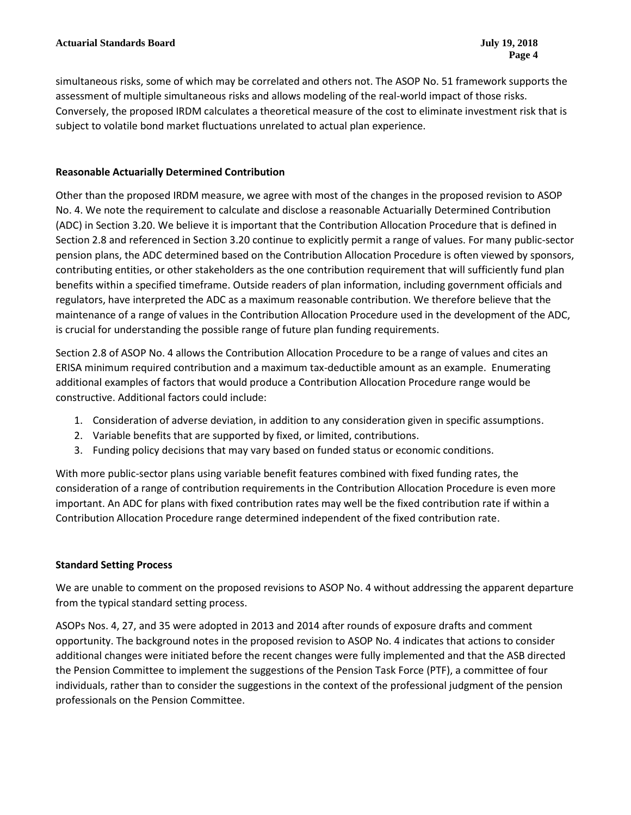simultaneous risks, some of which may be correlated and others not. The ASOP No. 51 framework supports the assessment of multiple simultaneous risks and allows modeling of the real-world impact of those risks. Conversely, the proposed IRDM calculates a theoretical measure of the cost to eliminate investment risk that is subject to volatile bond market fluctuations unrelated to actual plan experience.

### **Reasonable Actuarially Determined Contribution**

Other than the proposed IRDM measure, we agree with most of the changes in the proposed revision to ASOP No. 4. We note the requirement to calculate and disclose a reasonable Actuarially Determined Contribution (ADC) in Section 3.20. We believe it is important that the Contribution Allocation Procedure that is defined in Section 2.8 and referenced in Section 3.20 continue to explicitly permit a range of values. For many public-sector pension plans, the ADC determined based on the Contribution Allocation Procedure is often viewed by sponsors, contributing entities, or other stakeholders as the one contribution requirement that will sufficiently fund plan benefits within a specified timeframe. Outside readers of plan information, including government officials and regulators, have interpreted the ADC as a maximum reasonable contribution. We therefore believe that the maintenance of a range of values in the Contribution Allocation Procedure used in the development of the ADC, is crucial for understanding the possible range of future plan funding requirements.

Section 2.8 of ASOP No. 4 allows the Contribution Allocation Procedure to be a range of values and cites an ERISA minimum required contribution and a maximum tax-deductible amount as an example. Enumerating additional examples of factors that would produce a Contribution Allocation Procedure range would be constructive. Additional factors could include:

- 1. Consideration of adverse deviation, in addition to any consideration given in specific assumptions.
- 2. Variable benefits that are supported by fixed, or limited, contributions.
- 3. Funding policy decisions that may vary based on funded status or economic conditions.

With more public-sector plans using variable benefit features combined with fixed funding rates, the consideration of a range of contribution requirements in the Contribution Allocation Procedure is even more important. An ADC for plans with fixed contribution rates may well be the fixed contribution rate if within a Contribution Allocation Procedure range determined independent of the fixed contribution rate.

### **Standard Setting Process**

We are unable to comment on the proposed revisions to ASOP No. 4 without addressing the apparent departure from the typical standard setting process.

ASOPs Nos. 4, 27, and 35 were adopted in 2013 and 2014 after rounds of exposure drafts and comment opportunity. The background notes in the proposed revision to ASOP No. 4 indicates that actions to consider additional changes were initiated before the recent changes were fully implemented and that the ASB directed the Pension Committee to implement the suggestions of the Pension Task Force (PTF), a committee of four individuals, rather than to consider the suggestions in the context of the professional judgment of the pension professionals on the Pension Committee.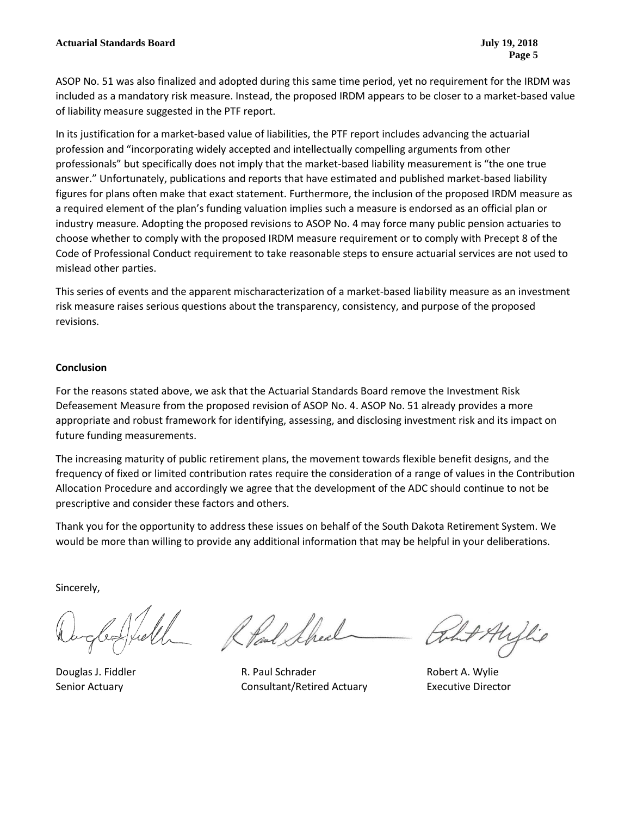ASOP No. 51 was also finalized and adopted during this same time period, yet no requirement for the IRDM was included as a mandatory risk measure. Instead, the proposed IRDM appears to be closer to a market-based value of liability measure suggested in the PTF report.

In its justification for a market-based value of liabilities, the PTF report includes advancing the actuarial profession and "incorporating widely accepted and intellectually compelling arguments from other professionals" but specifically does not imply that the market-based liability measurement is "the one true answer." Unfortunately, publications and reports that have estimated and published market-based liability figures for plans often make that exact statement. Furthermore, the inclusion of the proposed IRDM measure as a required element of the plan's funding valuation implies such a measure is endorsed as an official plan or industry measure. Adopting the proposed revisions to ASOP No. 4 may force many public pension actuaries to choose whether to comply with the proposed IRDM measure requirement or to comply with Precept 8 of the Code of Professional Conduct requirement to take reasonable steps to ensure actuarial services are not used to mislead other parties.

This series of events and the apparent mischaracterization of a market-based liability measure as an investment risk measure raises serious questions about the transparency, consistency, and purpose of the proposed revisions.

#### **Conclusion**

For the reasons stated above, we ask that the Actuarial Standards Board remove the Investment Risk Defeasement Measure from the proposed revision of ASOP No. 4. ASOP No. 51 already provides a more appropriate and robust framework for identifying, assessing, and disclosing investment risk and its impact on future funding measurements.

The increasing maturity of public retirement plans, the movement towards flexible benefit designs, and the frequency of fixed or limited contribution rates require the consideration of a range of values in the Contribution Allocation Procedure and accordingly we agree that the development of the ADC should continue to not be prescriptive and consider these factors and others.

Thank you for the opportunity to address these issues on behalf of the South Dakota Retirement System. We would be more than willing to provide any additional information that may be helpful in your deliberations.

Sincerely,

Douglas J. Fiddler **R. Paul Schrader** Robert A. Wylie Senior Actuary Consultant/Retired Actuary Executive Director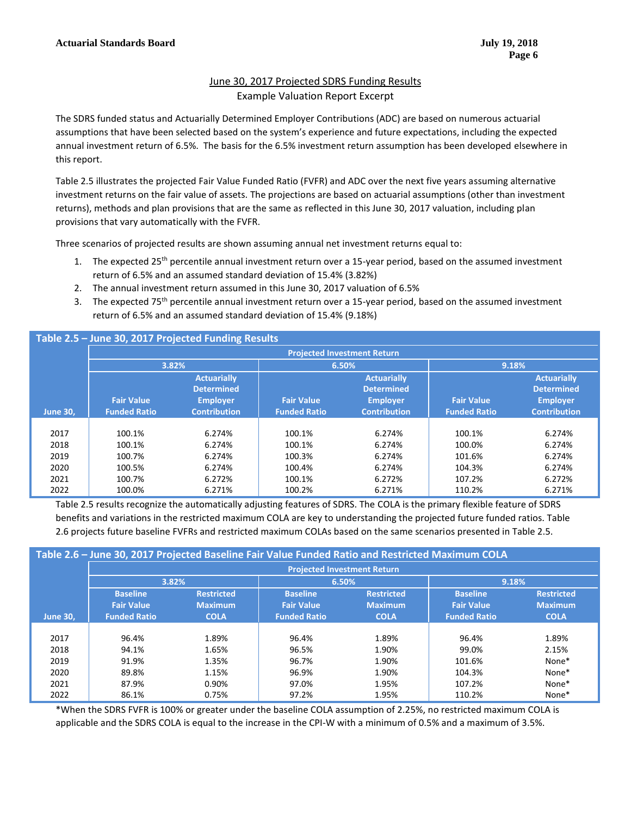# June 30, 2017 Projected SDRS Funding Results Example Valuation Report Excerpt

The SDRS funded status and Actuarially Determined Employer Contributions (ADC) are based on numerous actuarial assumptions that have been selected based on the system's experience and future expectations, including the expected annual investment return of 6.5%. The basis for the 6.5% investment return assumption has been developed elsewhere in this report.

Table 2.5 illustrates the projected Fair Value Funded Ratio (FVFR) and ADC over the next five years assuming alternative investment returns on the fair value of assets. The projections are based on actuarial assumptions (other than investment returns), methods and plan provisions that are the same as reflected in this June 30, 2017 valuation, including plan provisions that vary automatically with the FVFR.

Three scenarios of projected results are shown assuming annual net investment returns equal to:

- 1. The expected 25<sup>th</sup> percentile annual investment return over a 15-year period, based on the assumed investment return of 6.5% and an assumed standard deviation of 15.4% (3.82%)
- 2. The annual investment return assumed in this June 30, 2017 valuation of 6.5%
- 3. The expected 75<sup>th</sup> percentile annual investment return over a 15-year period, based on the assumed investment return of 6.5% and an assumed standard deviation of 15.4% (9.18%)

# **Table 2.5 – June 30, 2017 Projected Funding Results**

|                 | <b>Projected Investment Return</b> |                     |                     |                     |                     |                     |
|-----------------|------------------------------------|---------------------|---------------------|---------------------|---------------------|---------------------|
|                 | 3.82%                              |                     | 6.50%               |                     | 9.18%               |                     |
|                 |                                    | <b>Actuarially</b>  |                     | <b>Actuarially</b>  |                     | <b>Actuarially</b>  |
|                 |                                    | <b>Determined</b>   |                     | <b>Determined</b>   |                     | <b>Determined</b>   |
|                 | <b>Fair Value</b>                  | <b>Employer</b>     | <b>Fair Value</b>   | <b>Employer</b>     | <b>Fair Value</b>   | <b>Employer</b>     |
| <b>June 30,</b> | <b>Funded Ratio</b>                | <b>Contribution</b> | <b>Funded Ratio</b> | <b>Contribution</b> | <b>Funded Ratio</b> | <b>Contribution</b> |
|                 |                                    |                     |                     |                     |                     |                     |
| 2017            | 100.1%                             | 6.274%              | 100.1%              | 6.274%              | 100.1%              | 6.274%              |
| 2018            | 100.1%                             | 6.274%              | 100.1%              | 6.274%              | 100.0%              | 6.274%              |
| 2019            | 100.7%                             | 6.274%              | 100.3%              | 6.274%              | 101.6%              | 6.274%              |
| 2020            | 100.5%                             | 6.274%              | 100.4%              | 6.274%              | 104.3%              | 6.274%              |
| 2021            | 100.7%                             | 6.272%              | 100.1%              | 6.272%              | 107.2%              | 6.272%              |
| 2022            | 100.0%                             | 6.271%              | 100.2%              | 6.271%              | 110.2%              | 6.271%              |

Table 2.5 results recognize the automatically adjusting features of SDRS. The COLA is the primary flexible feature of SDRS benefits and variations in the restricted maximum COLA are key to understanding the projected future funded ratios. Table 2.6 projects future baseline FVFRs and restricted maximum COLAs based on the same scenarios presented in Table 2.5.

| Table 2.6 - June 30, 2017 Projected Baseline Fair Value Funded Ratio and Restricted Maximum COLA |                                    |                   |                     |                   |                     |                   |
|--------------------------------------------------------------------------------------------------|------------------------------------|-------------------|---------------------|-------------------|---------------------|-------------------|
|                                                                                                  | <b>Projected Investment Return</b> |                   |                     |                   |                     |                   |
|                                                                                                  | 3.82%                              |                   | 6.50%               |                   | 9.18%               |                   |
|                                                                                                  | <b>Baseline</b>                    | <b>Restricted</b> | <b>Baseline</b>     | <b>Restricted</b> | <b>Baseline</b>     | <b>Restricted</b> |
|                                                                                                  | <b>Fair Value</b>                  | <b>Maximum</b>    | <b>Fair Value</b>   | <b>Maximum</b>    | <b>Fair Value</b>   | <b>Maximum</b>    |
| June 30,                                                                                         | <b>Funded Ratio</b>                | <b>COLA</b>       | <b>Funded Ratio</b> | <b>COLA</b>       | <b>Funded Ratio</b> | <b>COLA</b>       |
|                                                                                                  |                                    |                   |                     |                   |                     |                   |
| 2017                                                                                             | 96.4%                              | 1.89%             | 96.4%               | 1.89%             | 96.4%               | 1.89%             |
| 2018                                                                                             | 94.1%                              | 1.65%             | 96.5%               | 1.90%             | 99.0%               | 2.15%             |
| 2019                                                                                             | 91.9%                              | 1.35%             | 96.7%               | 1.90%             | 101.6%              | None*             |
| 2020                                                                                             | 89.8%                              | 1.15%             | 96.9%               | 1.90%             | 104.3%              | None*             |
| 2021                                                                                             | 87.9%                              | 0.90%             | 97.0%               | 1.95%             | 107.2%              | None*             |
| 2022                                                                                             | 86.1%                              | 0.75%             | 97.2%               | 1.95%             | 110.2%              | None*             |

\*When the SDRS FVFR is 100% or greater under the baseline COLA assumption of 2.25%, no restricted maximum COLA is applicable and the SDRS COLA is equal to the increase in the CPI-W with a minimum of 0.5% and a maximum of 3.5%.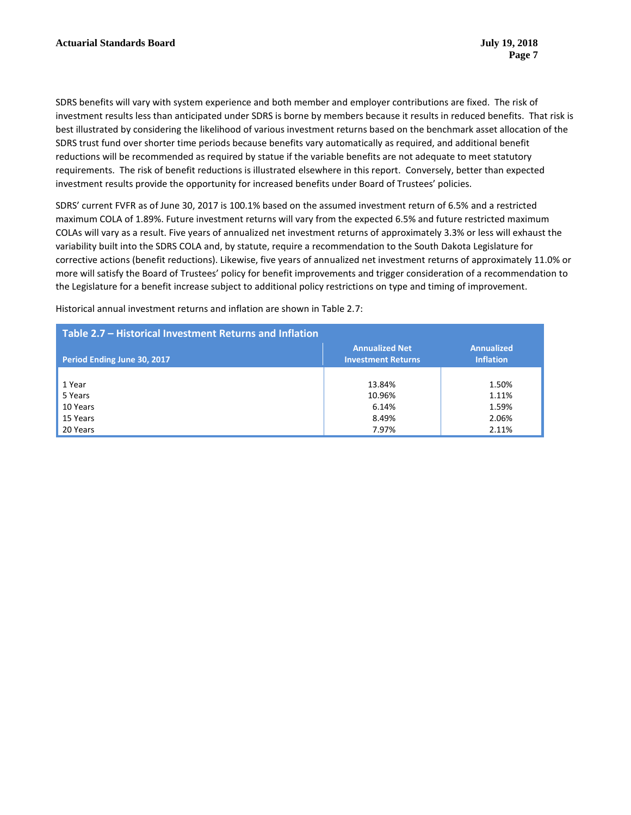SDRS benefits will vary with system experience and both member and employer contributions are fixed. The risk of investment results less than anticipated under SDRS is borne by members because it results in reduced benefits. That risk is best illustrated by considering the likelihood of various investment returns based on the benchmark asset allocation of the SDRS trust fund over shorter time periods because benefits vary automatically as required, and additional benefit reductions will be recommended as required by statue if the variable benefits are not adequate to meet statutory requirements. The risk of benefit reductions is illustrated elsewhere in this report. Conversely, better than expected investment results provide the opportunity for increased benefits under Board of Trustees' policies.

SDRS' current FVFR as of June 30, 2017 is 100.1% based on the assumed investment return of 6.5% and a restricted maximum COLA of 1.89%. Future investment returns will vary from the expected 6.5% and future restricted maximum COLAs will vary as a result. Five years of annualized net investment returns of approximately 3.3% or less will exhaust the variability built into the SDRS COLA and, by statute, require a recommendation to the South Dakota Legislature for corrective actions (benefit reductions). Likewise, five years of annualized net investment returns of approximately 11.0% or more will satisfy the Board of Trustees' policy for benefit improvements and trigger consideration of a recommendation to the Legislature for a benefit increase subject to additional policy restrictions on type and timing of improvement.

Historical annual investment returns and inflation are shown in Table 2.7:

| Table 2.7 - Historical Investment Returns and Inflation |                                                    |                                       |  |  |
|---------------------------------------------------------|----------------------------------------------------|---------------------------------------|--|--|
| Period Ending June 30, 2017                             | <b>Annualized Net</b><br><b>Investment Returns</b> | <b>Annualized</b><br><b>Inflation</b> |  |  |
|                                                         |                                                    |                                       |  |  |
| 1 Year                                                  | 13.84%                                             | 1.50%                                 |  |  |
| 5 Years                                                 | 10.96%                                             | 1.11%                                 |  |  |
| 10 Years                                                | 6.14%                                              | 1.59%                                 |  |  |
| 15 Years                                                | 8.49%                                              | 2.06%                                 |  |  |
| 20 Years                                                | 7.97%                                              | 2.11%                                 |  |  |